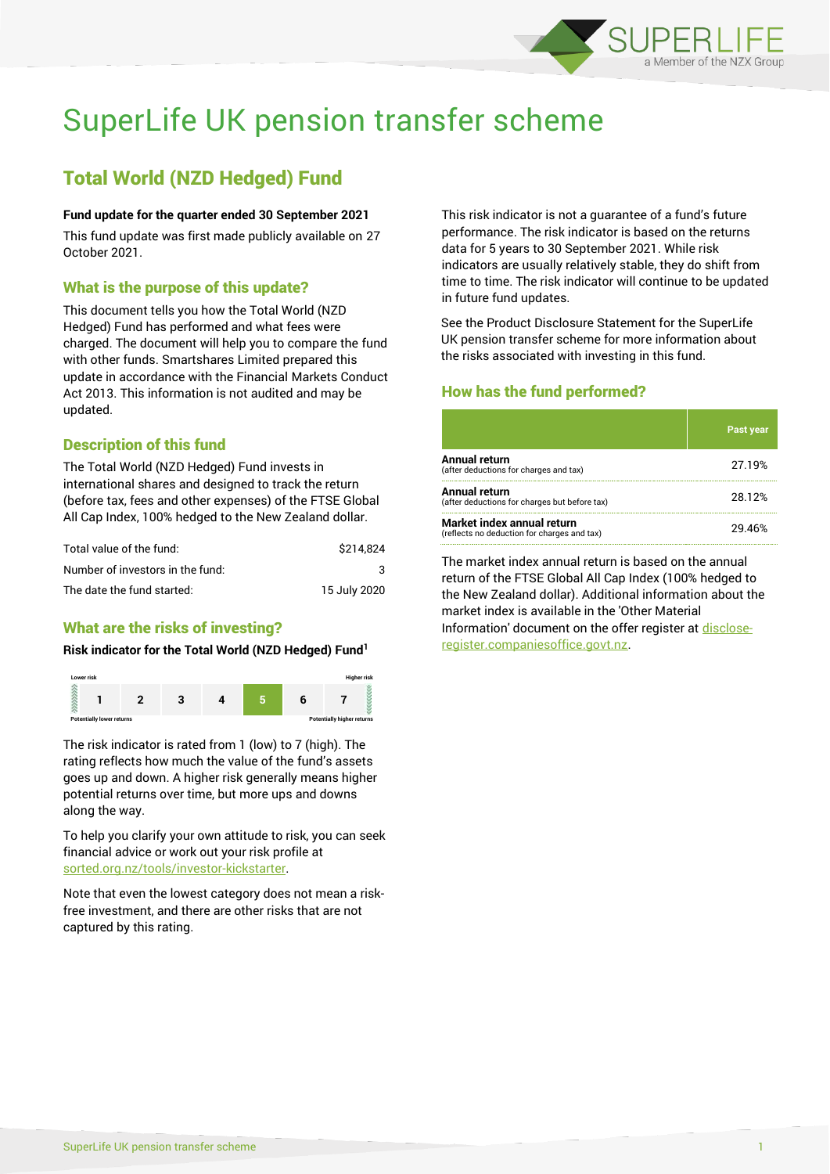

# SuperLife UK pension transfer scheme

# Total World (NZD Hedged) Fund

#### **Fund update for the quarter ended 30 September 2021**

This fund update was first made publicly available on 27 October 2021.

#### What is the purpose of this update?

This document tells you how the Total World (NZD Hedged) Fund has performed and what fees were charged. The document will help you to compare the fund with other funds. Smartshares Limited prepared this update in accordance with the Financial Markets Conduct Act 2013. This information is not audited and may be updated.

# Description of this fund

The Total World (NZD Hedged) Fund invests in international shares and designed to track the return (before tax, fees and other expenses) of the FTSE Global All Cap Index, 100% hedged to the New Zealand dollar.

| Total value of the fund:         | \$214.824    |
|----------------------------------|--------------|
| Number of investors in the fund: | 3            |
| The date the fund started:       | 15 July 2020 |

# What are the risks of investing?

#### **Risk indicator for the Total World (NZD Hedged) Fund<sup>1</sup>**



The risk indicator is rated from 1 (low) to 7 (high). The rating reflects how much the value of the fund's assets goes up and down. A higher risk generally means higher potential returns over time, but more ups and downs along the way.

To help you clarify your own attitude to risk, you can seek financial advice or work out your risk profile at [sorted.org.nz/tools/investor-kickstarter.](http://www.sorted.org.nz/tools/investor-kickstarter)

Note that even the lowest category does not mean a riskfree investment, and there are other risks that are not captured by this rating.

This risk indicator is not a guarantee of a fund's future performance. The risk indicator is based on the returns data for 5 years to 30 September 2021. While risk indicators are usually relatively stable, they do shift from time to time. The risk indicator will continue to be updated in future fund updates.

See the Product Disclosure Statement for the SuperLife UK pension transfer scheme for more information about the risks associated with investing in this fund.

# How has the fund performed?

|                                                                           | <b>Past year</b> |
|---------------------------------------------------------------------------|------------------|
| Annual return<br>(after deductions for charges and tax)                   | 27.19%           |
| Annual return<br>(after deductions for charges but before tax)            | 28.12%           |
| Market index annual return<br>(reflects no deduction for charges and tax) | 29.46%           |

The market index annual return is based on the annual return of the FTSE Global All Cap Index (100% hedged to the New Zealand dollar). Additional information about the market index is available in the 'Other Material Information' document on the offer register a[t disclose](http://www.disclose-register.companiesoffice.govt.nz/)[register.companiesoffice.govt.nz.](http://www.disclose-register.companiesoffice.govt.nz/)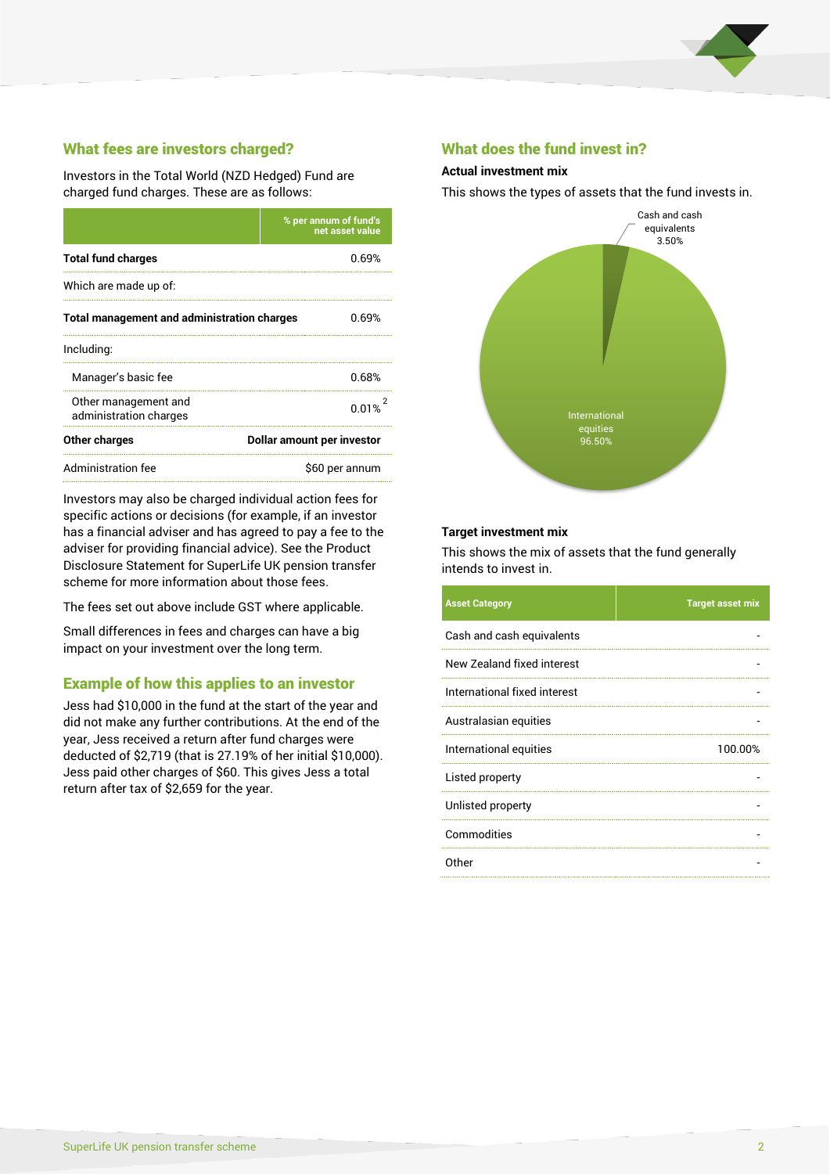

# What fees are investors charged?

Investors in the Total World (NZD Hedged) Fund are charged fund charges. These are as follows:

|                                                             | % per annum of fund's<br>net asset value |  |
|-------------------------------------------------------------|------------------------------------------|--|
| <b>Total fund charges</b>                                   | 0.69%                                    |  |
| Which are made up of:                                       |                                          |  |
| <b>Total management and administration charges</b><br>0.69% |                                          |  |
| Including:                                                  |                                          |  |
| Manager's basic fee                                         | 0.68%                                    |  |
| Other management and<br>administration charges              | 0.01%                                    |  |
| Other charges                                               | Dollar amount per investor               |  |
| Administration fee                                          | \$60 per annum                           |  |

Investors may also be charged individual action fees for specific actions or decisions (for example, if an investor has a financial adviser and has agreed to pay a fee to the adviser for providing financial advice). See the Product Disclosure Statement for SuperLife UK pension transfer scheme for more information about those fees.

The fees set out above include GST where applicable.

Small differences in fees and charges can have a big impact on your investment over the long term.

# Example of how this applies to an investor

Jess had \$10,000 in the fund at the start of the year and did not make any further contributions. At the end of the year, Jess received a return after fund charges were deducted of \$2,719 (that is 27.19% of her initial \$10,000). Jess paid other charges of \$60. This gives Jess a total return after tax of \$2,659 for the year.

#### What does the fund invest in?

#### **Actual investment mix**

This shows the types of assets that the fund invests in.



#### **Target investment mix**

This shows the mix of assets that the fund generally intends to invest in.

| <b>Asset Category</b>        | <b>Target asset mix</b> |
|------------------------------|-------------------------|
| Cash and cash equivalents    |                         |
| New Zealand fixed interest   |                         |
| International fixed interest |                         |
| Australasian equities        |                         |
| International equities       | 100.00%                 |
| Listed property              |                         |
| Unlisted property            |                         |
| Commodities                  |                         |
| Other                        |                         |